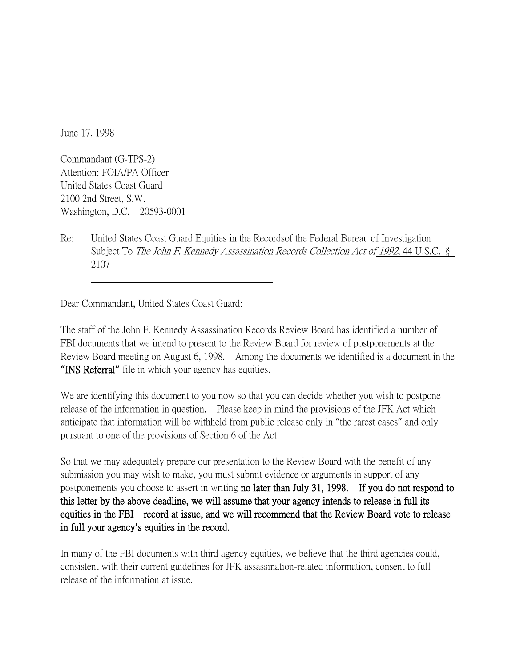June 17, 1998

Commandant (G-TPS-2) Attention: FOIA/PA Officer United States Coast Guard 2100 2nd Street, S.W. Washington, D.C. 20593-0001

Re: United States Coast Guard Equities in the Recordsof the Federal Bureau of Investigation Subject To The John F. Kennedy Assassination Records Collection Act of 1992, 44 U.S.C. § 2107

Dear Commandant, United States Coast Guard:

The staff of the John F. Kennedy Assassination Records Review Board has identified a number of FBI documents that we intend to present to the Review Board for review of postponements at the Review Board meeting on August 6, 1998. Among the documents we identified is a document in the **"**INS Referral**"** file in which your agency has equities.

We are identifying this document to you now so that you can decide whether you wish to postpone release of the information in question. Please keep in mind the provisions of the JFK Act which anticipate that information will be withheld from public release only in "the rarest cases" and only pursuant to one of the provisions of Section 6 of the Act.

So that we may adequately prepare our presentation to the Review Board with the benefit of any submission you may wish to make, you must submit evidence or arguments in support of any postponements you choose to assert in writing no later than July 31, 1998. If you do not respond to this letter by the above deadline, we will assume that your agency intends to release in full its equities in the FBI record at issue, and we will recommend that the Review Board vote to release in full your agency**'**s equities in the record.

In many of the FBI documents with third agency equities, we believe that the third agencies could, consistent with their current guidelines for JFK assassination-related information, consent to full release of the information at issue.